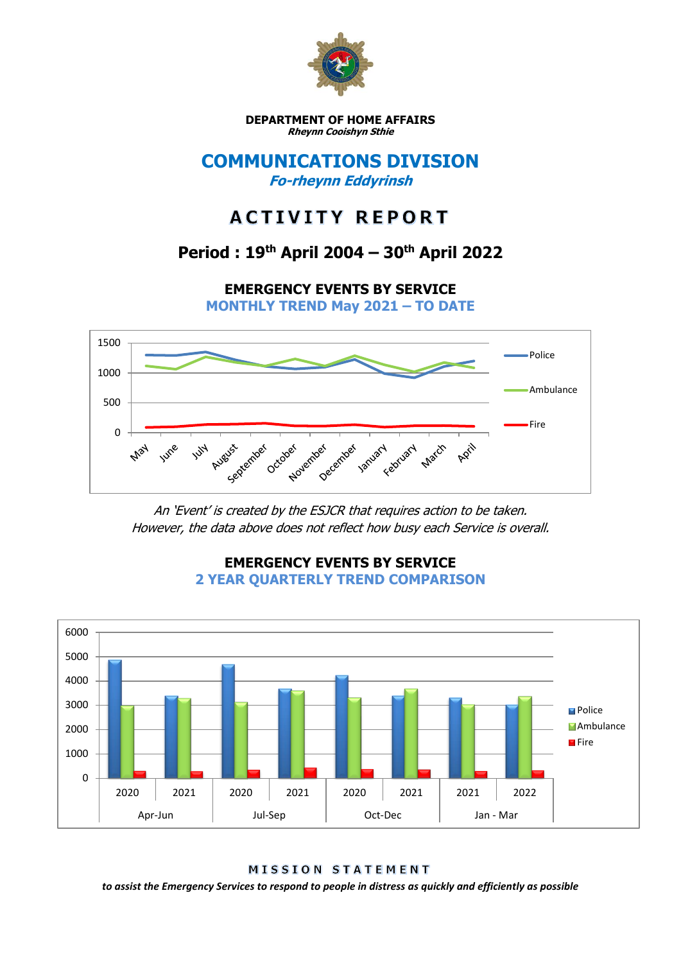

**DEPARTMENT OF HOME AFFAIRS Rheynn Cooishyn Sthie**

### **COMMUNICATIONS DIVISION Fo-rheynn Eddyrinsh**

# **ACTIVITY REPORT**

## **Period : 19th April 2004 – 30th April 2022**

**EMERGENCY EVENTS BY SERVICE**

**MONTHLY TREND May 2021 – TO DATE**



An 'Event' is created by the ESJCR that requires action to be taken. However, the data above does not reflect how busy each Service is overall.



### **EMERGENCY EVENTS BY SERVICE 2 YEAR QUARTERLY TREND COMPARISON**

**MISSION STATEMENT** 

*to assist the Emergency Services to respond to people in distress as quickly and efficiently as possible*